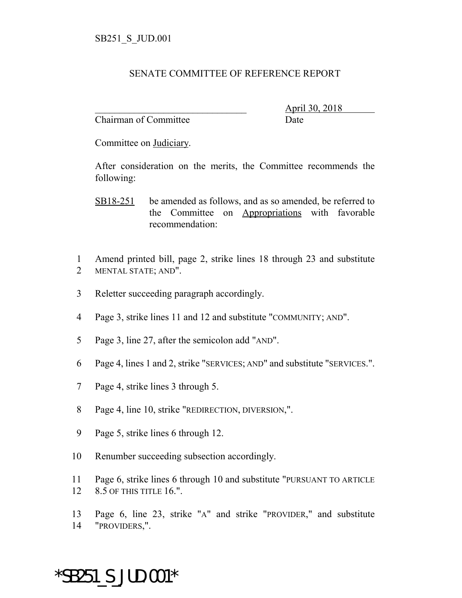## SENATE COMMITTEE OF REFERENCE REPORT

Chairman of Committee Date

\_\_\_\_\_\_\_\_\_\_\_\_\_\_\_\_\_\_\_\_\_\_\_\_\_\_\_\_\_\_\_ April 30, 2018

Committee on Judiciary.

After consideration on the merits, the Committee recommends the following:

- SB18-251 be amended as follows, and as so amended, be referred to the Committee on Appropriations with favorable recommendation:
- 1 Amend printed bill, page 2, strike lines 18 through 23 and substitute 2 MENTAL STATE; AND".
- 3 Reletter succeeding paragraph accordingly.
- 4 Page 3, strike lines 11 and 12 and substitute "COMMUNITY; AND".
- 5 Page 3, line 27, after the semicolon add "AND".
- 6 Page 4, lines 1 and 2, strike "SERVICES; AND" and substitute "SERVICES.".
- 7 Page 4, strike lines 3 through 5.
- 8 Page 4, line 10, strike "REDIRECTION, DIVERSION,".
- 9 Page 5, strike lines 6 through 12.
- 10 Renumber succeeding subsection accordingly.
- 11 Page 6, strike lines 6 through 10 and substitute "PURSUANT TO ARTICLE 12 8.5 OF THIS TITLE 16.".
- 13 Page 6, line 23, strike "A" and strike "PROVIDER," and substitute 14 "PROVIDERS,".

## \*SB251\_S\_JUD.001\*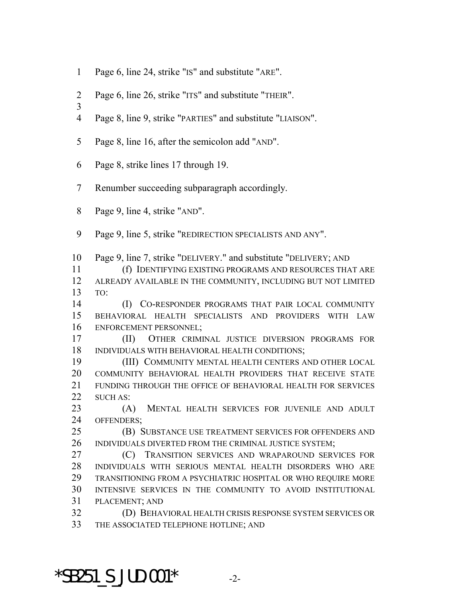- Page 6, line 24, strike "IS" and substitute "ARE".
- Page 6, line 26, strike "ITS" and substitute "THEIR".
- 
- Page 8, line 9, strike "PARTIES" and substitute "LIAISON".
- Page 8, line 16, after the semicolon add "AND".
- Page 8, strike lines 17 through 19.
- Renumber succeeding subparagraph accordingly.
- Page 9, line 4, strike "AND".
- Page 9, line 5, strike "REDIRECTION SPECIALISTS AND ANY".

Page 9, line 7, strike "DELIVERY." and substitute "DELIVERY; AND

 (f) IDENTIFYING EXISTING PROGRAMS AND RESOURCES THAT ARE ALREADY AVAILABLE IN THE COMMUNITY, INCLUDING BUT NOT LIMITED TO:

 (I) CO-RESPONDER PROGRAMS THAT PAIR LOCAL COMMUNITY BEHAVIORAL HEALTH SPECIALISTS AND PROVIDERS WITH LAW ENFORCEMENT PERSONNEL;

 (II) OTHER CRIMINAL JUSTICE DIVERSION PROGRAMS FOR INDIVIDUALS WITH BEHAVIORAL HEALTH CONDITIONS;

 (III) COMMUNITY MENTAL HEALTH CENTERS AND OTHER LOCAL COMMUNITY BEHAVIORAL HEALTH PROVIDERS THAT RECEIVE STATE FUNDING THROUGH THE OFFICE OF BEHAVIORAL HEALTH FOR SERVICES 22 SUCH AS:

 (A) MENTAL HEALTH SERVICES FOR JUVENILE AND ADULT OFFENDERS;

 (B) SUBSTANCE USE TREATMENT SERVICES FOR OFFENDERS AND 26 INDIVIDUALS DIVERTED FROM THE CRIMINAL JUSTICE SYSTEM;

 (C) TRANSITION SERVICES AND WRAPAROUND SERVICES FOR INDIVIDUALS WITH SERIOUS MENTAL HEALTH DISORDERS WHO ARE TRANSITIONING FROM A PSYCHIATRIC HOSPITAL OR WHO REQUIRE MORE INTENSIVE SERVICES IN THE COMMUNITY TO AVOID INSTITUTIONAL PLACEMENT; AND

 (D) BEHAVIORAL HEALTH CRISIS RESPONSE SYSTEM SERVICES OR THE ASSOCIATED TELEPHONE HOTLINE; AND

\*SB251 S JUD.001\*  $-2$ -